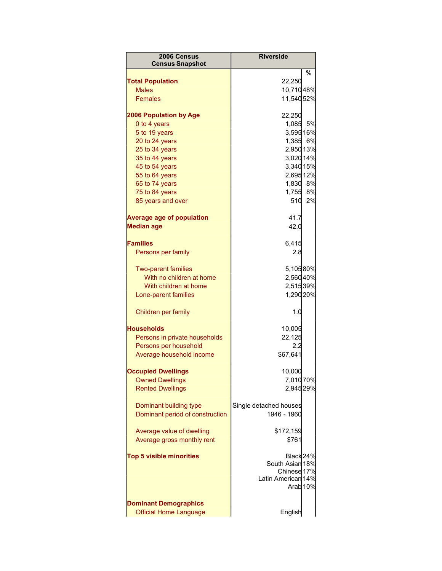| 2006 Census<br><b>Census Snapshot</b>                         | <b>Riverside</b>                                                  |                     |
|---------------------------------------------------------------|-------------------------------------------------------------------|---------------------|
|                                                               |                                                                   | %                   |
| <b>Total Population</b>                                       | 22,250                                                            |                     |
| <b>Males</b>                                                  | 10,71048%                                                         |                     |
| <b>Females</b>                                                | 11,540 52%                                                        |                     |
| <b>2006 Population by Age</b>                                 | 22,250                                                            |                     |
| 0 to 4 years                                                  | 1,085                                                             | 5%                  |
| 5 to 19 years                                                 | 3,595 16%                                                         |                     |
| 20 to 24 years                                                | 1,385 6%                                                          |                     |
| 25 to 34 years                                                | 2,950 13%                                                         |                     |
| 35 to 44 years                                                | 3,020 14%                                                         |                     |
| 45 to 54 years                                                | 3,340 15%                                                         |                     |
| 55 to 64 years                                                | 2,695 12%                                                         |                     |
| 65 to 74 years                                                | 1,830 8%                                                          |                     |
| 75 to 84 years                                                | 1,755 8%                                                          |                     |
| 85 years and over                                             | 510                                                               | 2%                  |
| <b>Average age of population</b>                              | 41.7                                                              |                     |
| <b>Median age</b>                                             | 42.0                                                              |                     |
|                                                               |                                                                   |                     |
| <b>Families</b>                                               | 6,415                                                             |                     |
| Persons per family                                            | 2.8                                                               |                     |
| <b>Two-parent families</b>                                    | 5,10580%                                                          |                     |
| With no children at home                                      | 2,56040%                                                          |                     |
| With children at home                                         | 2,51539%                                                          |                     |
| Lone-parent families                                          | 1,290 20%                                                         |                     |
| Children per family                                           | 1.0                                                               |                     |
| <b>Households</b>                                             | 10,005                                                            |                     |
| Persons in private households                                 | 22,125                                                            |                     |
| Persons per household                                         | 2.2                                                               |                     |
| Average household income                                      | \$67,641                                                          |                     |
| <b>Occupied Dwellings</b>                                     | 10,000                                                            |                     |
| <b>Owned Dwellings</b>                                        | 7,010 70%                                                         |                     |
| <b>Rented Dwellings</b>                                       | 2,945 29%                                                         |                     |
| Dominant building type<br>Dominant period of construction     | Single detached houses<br>1946 - 1960                             |                     |
|                                                               |                                                                   |                     |
| Average value of dwelling                                     | \$172,159                                                         |                     |
| Average gross monthly rent                                    | \$761                                                             |                     |
| <b>Top 5 visible minorities</b>                               | Black 24%<br>South Asian 18%<br>Chinese 17%<br>Latin American 14% | Arab <sub>10%</sub> |
| <b>Dominant Demographics</b><br><b>Official Home Language</b> | English                                                           |                     |